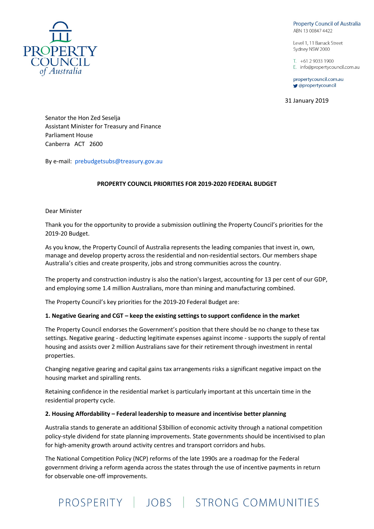**Property Council of Australia** ABN 13 00847 4422

Level 1, 11 Barrack Street Sydney NSW 2000

 $T_{+61}$  2 9033 1900 E. info@propertycouncil.com.au

propertycouncil.com.au gpropertycouncil

31 January 2019



Senator the Hon Zed Seselja Assistant Minister for Treasury and Finance Parliament House Canberra ACT 2600

By e-mail: prebudgetsubs@treasury.gov.au

# PROPERTY COUNCIL PRIORITIES FOR 2019-2020 FEDERAL BUDGET

Dear Minister

Thank you for the opportunity to provide a submission outlining the Property Council's priorities for the 2019-20 Budget.

As you know, the Property Council of Australia represents the leading companies that invest in, own, manage and develop property across the residential and non-residential sectors. Our members shape Australia's cities and create prosperity, jobs and strong communities across the country.

The property and construction industry is also the nation's largest, accounting for 13 per cent of our GDP, and employing some 1.4 million Australians, more than mining and manufacturing combined.

The Property Council's key priorities for the 2019-20 Federal Budget are:

### 1. Negative Gearing and CGT – keep the existing settings to support confidence in the market

The Property Council endorses the Government's position that there should be no change to these tax settings. Negative gearing - deducting legitimate expenses against income - supports the supply of rental housing and assists over 2 million Australians save for their retirement through investment in rental properties.

Changing negative gearing and capital gains tax arrangements risks a significant negative impact on the housing market and spiralling rents.

Retaining confidence in the residential market is particularly important at this uncertain time in the residential property cycle.

#### 2. Housing Affordability – Federal leadership to measure and incentivise better planning

Australia stands to generate an additional \$3billion of economic activity through a national competition policy-style dividend for state planning improvements. State governments should be incentivised to plan for high-amenity growth around activity centres and transport corridors and hubs.

The National Competition Policy (NCP) reforms of the late 1990s are a roadmap for the Federal government driving a reform agenda across the states through the use of incentive payments in return for observable one-off improvements.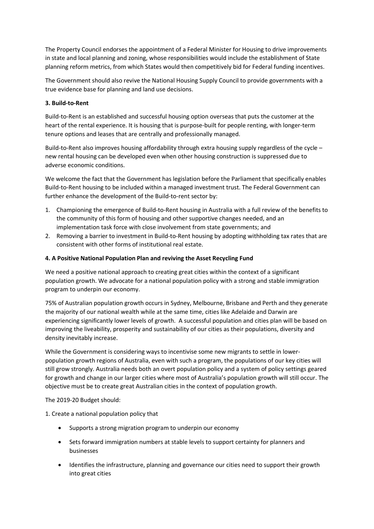The Property Council endorses the appointment of a Federal Minister for Housing to drive improvements in state and local planning and zoning, whose responsibilities would include the establishment of State planning reform metrics, from which States would then competitively bid for Federal funding incentives.

The Government should also revive the National Housing Supply Council to provide governments with a true evidence base for planning and land use decisions.

# 3. Build-to-Rent

Build-to-Rent is an established and successful housing option overseas that puts the customer at the heart of the rental experience. It is housing that is purpose-built for people renting, with longer-term tenure options and leases that are centrally and professionally managed.

Build-to-Rent also improves housing affordability through extra housing supply regardless of the cycle – new rental housing can be developed even when other housing construction is suppressed due to adverse economic conditions.

We welcome the fact that the Government has legislation before the Parliament that specifically enables Build-to-Rent housing to be included within a managed investment trust. The Federal Government can further enhance the development of the Build-to-rent sector by:

- 1. Championing the emergence of Build-to-Rent housing in Australia with a full review of the benefits to the community of this form of housing and other supportive changes needed, and an implementation task force with close involvement from state governments; and
- 2. Removing a barrier to investment in Build-to-Rent housing by adopting withholding tax rates that are consistent with other forms of institutional real estate.

# 4. A Positive National Population Plan and reviving the Asset Recycling Fund

We need a positive national approach to creating great cities within the context of a significant population growth. We advocate for a national population policy with a strong and stable immigration program to underpin our economy.

75% of Australian population growth occurs in Sydney, Melbourne, Brisbane and Perth and they generate the majority of our national wealth while at the same time, cities like Adelaide and Darwin are experiencing significantly lower levels of growth. A successful population and cities plan will be based on improving the liveability, prosperity and sustainability of our cities as their populations, diversity and density inevitably increase.

While the Government is considering ways to incentivise some new migrants to settle in lowerpopulation growth regions of Australia, even with such a program, the populations of our key cities will still grow strongly. Australia needs both an overt population policy and a system of policy settings geared for growth and change in our larger cities where most of Australia's population growth will still occur. The objective must be to create great Australian cities in the context of population growth.

### The 2019-20 Budget should:

1. Create a national population policy that

- Supports a strong migration program to underpin our economy
- Sets forward immigration numbers at stable levels to support certainty for planners and businesses
- Identifies the infrastructure, planning and governance our cities need to support their growth into great cities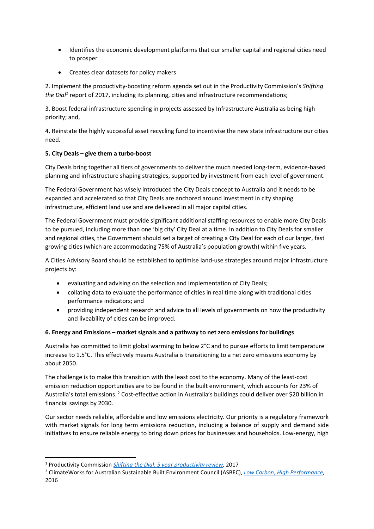- Identifies the economic development platforms that our smaller capital and regional cities need to prosper
- Creates clear datasets for policy makers

2. Implement the productivity-boosting reform agenda set out in the Productivity Commission's Shifting the Dial<sup>1</sup> report of 2017, including its planning, cities and infrastructure recommendations;

3. Boost federal infrastructure spending in projects assessed by Infrastructure Australia as being high priority; and,

4. Reinstate the highly successful asset recycling fund to incentivise the new state infrastructure our cities need.

# 5. City Deals – give them a turbo-boost

City Deals bring together all tiers of governments to deliver the much needed long-term, evidence-based planning and infrastructure shaping strategies, supported by investment from each level of government.

The Federal Government has wisely introduced the City Deals concept to Australia and it needs to be expanded and accelerated so that City Deals are anchored around investment in city shaping infrastructure, efficient land use and are delivered in all major capital cities.

The Federal Government must provide significant additional staffing resources to enable more City Deals to be pursued, including more than one 'big city' City Deal at a time. In addition to City Deals for smaller and regional cities, the Government should set a target of creating a City Deal for each of our larger, fast growing cities (which are accommodating 75% of Australia's population growth) within five years.

A Cities Advisory Board should be established to optimise land-use strategies around major infrastructure projects by:

- evaluating and advising on the selection and implementation of City Deals;
- collating data to evaluate the performance of cities in real time along with traditional cities performance indicators; and
- providing independent research and advice to all levels of governments on how the productivity and liveability of cities can be improved.

# 6. Energy and Emissions – market signals and a pathway to net zero emissions for buildings

Australia has committed to limit global warming to below 2°C and to pursue efforts to limit temperature increase to 1.5°C. This effectively means Australia is transitioning to a net zero emissions economy by about 2050.

The challenge is to make this transition with the least cost to the economy. Many of the least-cost emission reduction opportunities are to be found in the built environment, which accounts for 23% of Australia's total emissions.<sup>2</sup> Cost-effective action in Australia's buildings could deliver over \$20 billion in financial savings by 2030.

Our sector needs reliable, affordable and low emissions electricity. Our priority is a regulatory framework with market signals for long term emissions reduction, including a balance of supply and demand side initiatives to ensure reliable energy to bring down prices for businesses and households. Low-energy, high

-

<sup>&</sup>lt;sup>1</sup> Productivity Commission *Shifting the Dial: 5 year productivity review*, 2017

<sup>&</sup>lt;sup>2</sup> ClimateWorks for Australian Sustainable Built Environment Council (ASBEC), *Low Carbon, High Performance,* 2016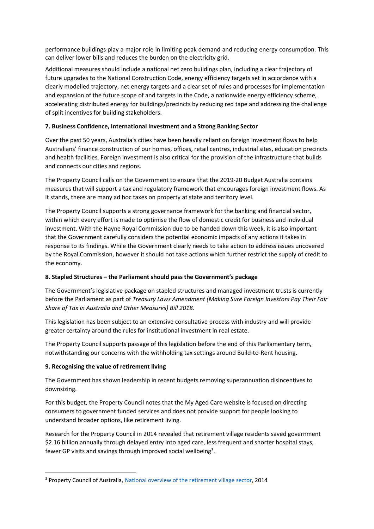performance buildings play a major role in limiting peak demand and reducing energy consumption. This can deliver lower bills and reduces the burden on the electricity grid.

Additional measures should include a national net zero buildings plan, including a clear trajectory of future upgrades to the National Construction Code, energy efficiency targets set in accordance with a clearly modelled trajectory, net energy targets and a clear set of rules and processes for implementation and expansion of the future scope of and targets in the Code, a nationwide energy efficiency scheme, accelerating distributed energy for buildings/precincts by reducing red tape and addressing the challenge of split incentives for building stakeholders.

# 7. Business Confidence, International Investment and a Strong Banking Sector

Over the past 50 years, Australia's cities have been heavily reliant on foreign investment flows to help Australians' finance construction of our homes, offices, retail centres, industrial sites, education precincts and health facilities. Foreign investment is also critical for the provision of the infrastructure that builds and connects our cities and regions.

The Property Council calls on the Government to ensure that the 2019-20 Budget Australia contains measures that will support a tax and regulatory framework that encourages foreign investment flows. As it stands, there are many ad hoc taxes on property at state and territory level.

The Property Council supports a strong governance framework for the banking and financial sector, within which every effort is made to optimise the flow of domestic credit for business and individual investment. With the Hayne Royal Commission due to be handed down this week, it is also important that the Government carefully considers the potential economic impacts of any actions it takes in response to its findings. While the Government clearly needs to take action to address issues uncovered by the Royal Commission, however it should not take actions which further restrict the supply of credit to the economy.

# 8. Stapled Structures – the Parliament should pass the Government's package

The Government's legislative package on stapled structures and managed investment trusts is currently before the Parliament as part of Treasury Laws Amendment (Making Sure Foreign Investors Pay Their Fair Share of Tax in Australia and Other Measures) Bill 2018.

This legislation has been subject to an extensive consultative process with industry and will provide greater certainty around the rules for institutional investment in real estate.

The Property Council supports passage of this legislation before the end of this Parliamentary term, notwithstanding our concerns with the withholding tax settings around Build-to-Rent housing.

### 9. Recognising the value of retirement living

-

The Government has shown leadership in recent budgets removing superannuation disincentives to downsizing.

For this budget, the Property Council notes that the My Aged Care website is focused on directing consumers to government funded services and does not provide support for people looking to understand broader options, like retirement living.

Research for the Property Council in 2014 revealed that retirement village residents saved government \$2.16 billion annually through delayed entry into aged care, less frequent and shorter hospital stays, fewer GP visits and savings through improved social wellbeing<sup>3</sup>.

<sup>&</sup>lt;sup>3</sup> Property Council of Australia, National overview of the retirement village sector, 2014